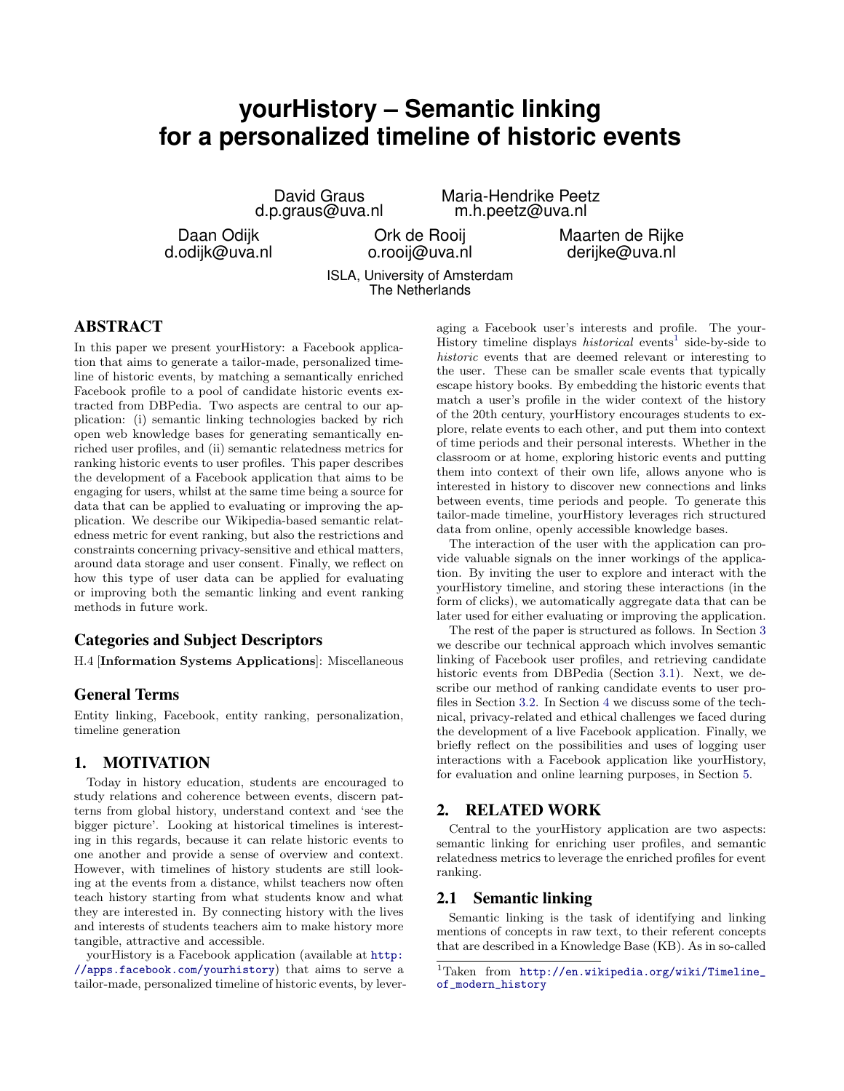# **yourHistory – Semantic linking for a personalized timeline of historic events**

David Graus d.p.graus@uva.nl

Daan Odijk d.odijk@uva.nl

Ork de Rooij o.rooij@uva.nl

Maria-Hendrike Peetz m.h.peetz@uva.nl

> Maarten de Rijke derijke@uva.nl

ISLA, University of Amsterdam The Netherlands

# ABSTRACT

In this paper we present yourHistory: a Facebook application that aims to generate a tailor-made, personalized timeline of historic events, by matching a semantically enriched Facebook profile to a pool of candidate historic events extracted from DBPedia. Two aspects are central to our application: (i) semantic linking technologies backed by rich open web knowledge bases for generating semantically enriched user profiles, and (ii) semantic relatedness metrics for ranking historic events to user profiles. This paper describes the development of a Facebook application that aims to be engaging for users, whilst at the same time being a source for data that can be applied to evaluating or improving the application. We describe our Wikipedia-based semantic relatedness metric for event ranking, but also the restrictions and constraints concerning privacy-sensitive and ethical matters, around data storage and user consent. Finally, we reflect on how this type of user data can be applied for evaluating or improving both the semantic linking and event ranking methods in future work.

## Categories and Subject Descriptors

H.4 [Information Systems Applications]: Miscellaneous

## General Terms

Entity linking, Facebook, entity ranking, personalization, timeline generation

## 1. MOTIVATION

Today in history education, students are encouraged to study relations and coherence between events, discern patterns from global history, understand context and 'see the bigger picture'. Looking at historical timelines is interesting in this regards, because it can relate historic events to one another and provide a sense of overview and context. However, with timelines of history students are still looking at the events from a distance, whilst teachers now often teach history starting from what students know and what they are interested in. By connecting history with the lives and interests of students teachers aim to make history more tangible, attractive and accessible.

yourHistory is a Facebook application (available at [http:](http://apps.facebook.com/yourhistory) [//apps.facebook.com/yourhistory](http://apps.facebook.com/yourhistory)) that aims to serve a tailor-made, personalized timeline of historic events, by leveraging a Facebook user's interests and profile. The your-History timeline displays *historical* events<sup>[1](#page-0-0)</sup> side-by-side to historic events that are deemed relevant or interesting to the user. These can be smaller scale events that typically escape history books. By embedding the historic events that match a user's profile in the wider context of the history of the 20th century, yourHistory encourages students to explore, relate events to each other, and put them into context of time periods and their personal interests. Whether in the classroom or at home, exploring historic events and putting them into context of their own life, allows anyone who is interested in history to discover new connections and links between events, time periods and people. To generate this tailor-made timeline, yourHistory leverages rich structured data from online, openly accessible knowledge bases.

The interaction of the user with the application can provide valuable signals on the inner workings of the application. By inviting the user to explore and interact with the yourHistory timeline, and storing these interactions (in the form of clicks), we automatically aggregate data that can be later used for either evaluating or improving the application.

The rest of the paper is structured as follows. In Section [3](#page-1-0) we describe our technical approach which involves semantic linking of Facebook user profiles, and retrieving candidate historic events from DBPedia (Section [3.1\)](#page-1-1). Next, we describe our method of ranking candidate events to user profiles in Section [3.2.](#page-2-0) In Section [4](#page-3-0) we discuss some of the technical, privacy-related and ethical challenges we faced during the development of a live Facebook application. Finally, we briefly reflect on the possibilities and uses of logging user interactions with a Facebook application like yourHistory, for evaluation and online learning purposes, in Section [5.](#page-4-0)

# 2. RELATED WORK

Central to the yourHistory application are two aspects: semantic linking for enriching user profiles, and semantic relatedness metrics to leverage the enriched profiles for event ranking.

#### 2.1 Semantic linking

Semantic linking is the task of identifying and linking mentions of concepts in raw text, to their referent concepts that are described in a Knowledge Base (KB). As in so-called

<span id="page-0-0"></span><sup>1</sup>Taken from [http://en.wikipedia.org/wiki/Timeline\\_](http://en.wikipedia.org/wiki/Timeline_of_modern_history) [of\\_modern\\_history](http://en.wikipedia.org/wiki/Timeline_of_modern_history)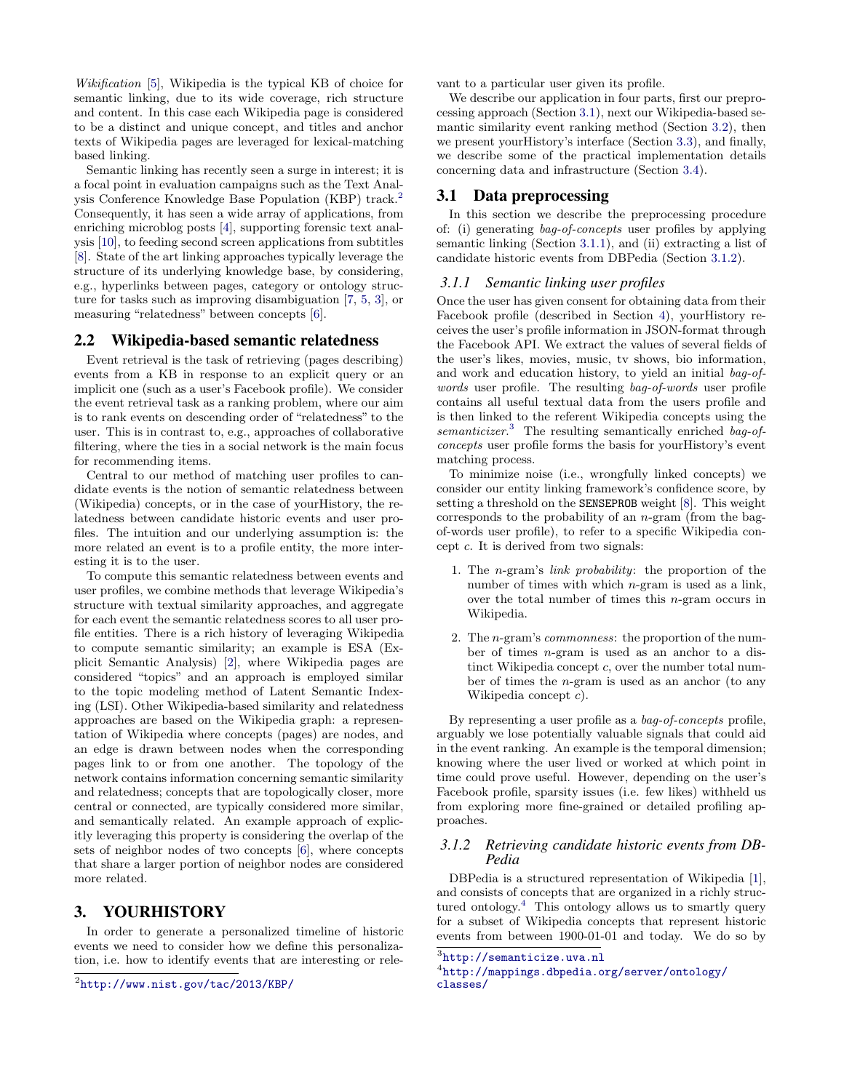Wikification [\[5\]](#page-5-0), Wikipedia is the typical KB of choice for semantic linking, due to its wide coverage, rich structure and content. In this case each Wikipedia page is considered to be a distinct and unique concept, and titles and anchor texts of Wikipedia pages are leveraged for lexical-matching based linking.

Semantic linking has recently seen a surge in interest; it is a focal point in evaluation campaigns such as the Text Analysis Conference Knowledge Base Population (KBP) track.[2](#page-1-2) Consequently, it has seen a wide array of applications, from enriching microblog posts [\[4\]](#page-5-1), supporting forensic text analysis [\[10\]](#page-5-2), to feeding second screen applications from subtitles [\[8\]](#page-5-3). State of the art linking approaches typically leverage the structure of its underlying knowledge base, by considering, e.g., hyperlinks between pages, category or ontology structure for tasks such as improving disambiguation [\[7,](#page-5-4) [5,](#page-5-0) [3\]](#page-5-5), or measuring "relatedness" between concepts [\[6\]](#page-5-6).

#### 2.2 Wikipedia-based semantic relatedness

Event retrieval is the task of retrieving (pages describing) events from a KB in response to an explicit query or an implicit one (such as a user's Facebook profile). We consider the event retrieval task as a ranking problem, where our aim is to rank events on descending order of "relatedness" to the user. This is in contrast to, e.g., approaches of collaborative filtering, where the ties in a social network is the main focus for recommending items.

Central to our method of matching user profiles to candidate events is the notion of semantic relatedness between (Wikipedia) concepts, or in the case of yourHistory, the relatedness between candidate historic events and user profiles. The intuition and our underlying assumption is: the more related an event is to a profile entity, the more interesting it is to the user.

To compute this semantic relatedness between events and user profiles, we combine methods that leverage Wikipedia's structure with textual similarity approaches, and aggregate for each event the semantic relatedness scores to all user profile entities. There is a rich history of leveraging Wikipedia to compute semantic similarity; an example is ESA (Explicit Semantic Analysis) [\[2\]](#page-5-7), where Wikipedia pages are considered "topics" and an approach is employed similar to the topic modeling method of Latent Semantic Indexing (LSI). Other Wikipedia-based similarity and relatedness approaches are based on the Wikipedia graph: a representation of Wikipedia where concepts (pages) are nodes, and an edge is drawn between nodes when the corresponding pages link to or from one another. The topology of the network contains information concerning semantic similarity and relatedness; concepts that are topologically closer, more central or connected, are typically considered more similar, and semantically related. An example approach of explicitly leveraging this property is considering the overlap of the sets of neighbor nodes of two concepts [\[6\]](#page-5-6), where concepts that share a larger portion of neighbor nodes are considered more related.

## <span id="page-1-0"></span>3. YOURHISTORY

In order to generate a personalized timeline of historic events we need to consider how we define this personalization, i.e. how to identify events that are interesting or relevant to a particular user given its profile.

We describe our application in four parts, first our preprocessing approach (Section [3.1\)](#page-1-1), next our Wikipedia-based semantic similarity event ranking method (Section [3.2\)](#page-2-0), then we present yourHistory's interface (Section [3.3\)](#page-3-1), and finally, we describe some of the practical implementation details concerning data and infrastructure (Section [3.4\)](#page-3-2).

# <span id="page-1-1"></span>3.1 Data preprocessing

In this section we describe the preprocessing procedure of: (i) generating bag-of-concepts user profiles by applying semantic linking (Section [3.1.1\)](#page-1-3), and (ii) extracting a list of candidate historic events from DBPedia (Section [3.1.2\)](#page-1-4).

#### <span id="page-1-3"></span>*3.1.1 Semantic linking user profiles*

Once the user has given consent for obtaining data from their Facebook profile (described in Section [4\)](#page-3-0), yourHistory receives the user's profile information in JSON-format through the Facebook API. We extract the values of several fields of the user's likes, movies, music, tv shows, bio information, and work and education history, to yield an initial bag-ofwords user profile. The resulting bag-of-words user profile contains all useful textual data from the users profile and is then linked to the referent Wikipedia concepts using the semanticizer.<sup>[3](#page-1-5)</sup> The resulting semantically enriched bag-ofconcepts user profile forms the basis for yourHistory's event matching process.

To minimize noise (i.e., wrongfully linked concepts) we consider our entity linking framework's confidence score, by setting a threshold on the SENSEPROB weight [\[8\]](#page-5-3). This weight corresponds to the probability of an  $n$ -gram (from the bagof-words user profile), to refer to a specific Wikipedia concept c. It is derived from two signals:

- 1. The n-gram's link probability: the proportion of the number of times with which n-gram is used as a link, over the total number of times this  $n$ -gram occurs in Wikipedia.
- 2. The n-gram's commonness: the proportion of the number of times n-gram is used as an anchor to a distinct Wikipedia concept c, over the number total number of times the n-gram is used as an anchor (to any Wikipedia concept c).

By representing a user profile as a bag-of-concepts profile, arguably we lose potentially valuable signals that could aid in the event ranking. An example is the temporal dimension; knowing where the user lived or worked at which point in time could prove useful. However, depending on the user's Facebook profile, sparsity issues (i.e. few likes) withheld us from exploring more fine-grained or detailed profiling approaches.

#### <span id="page-1-4"></span>*3.1.2 Retrieving candidate historic events from DB-Pedia*

DBPedia is a structured representation of Wikipedia [\[1\]](#page-4-1), and consists of concepts that are organized in a richly struc-tured ontology.<sup>[4](#page-1-6)</sup> This ontology allows us to smartly query for a subset of Wikipedia concepts that represent historic events from between 1900-01-01 and today. We do so by

<span id="page-1-2"></span> $^{2}$ <http://www.nist.gov/tac/2013/KBP/>

<span id="page-1-5"></span> ${}^{3}$ <http://semanticize.uva.nl>

<span id="page-1-6"></span><sup>4</sup> [http://mappings.dbpedia.org/server/ontology/](http://mappings.dbpedia.org/server/ontology/classes/) [classes/](http://mappings.dbpedia.org/server/ontology/classes/)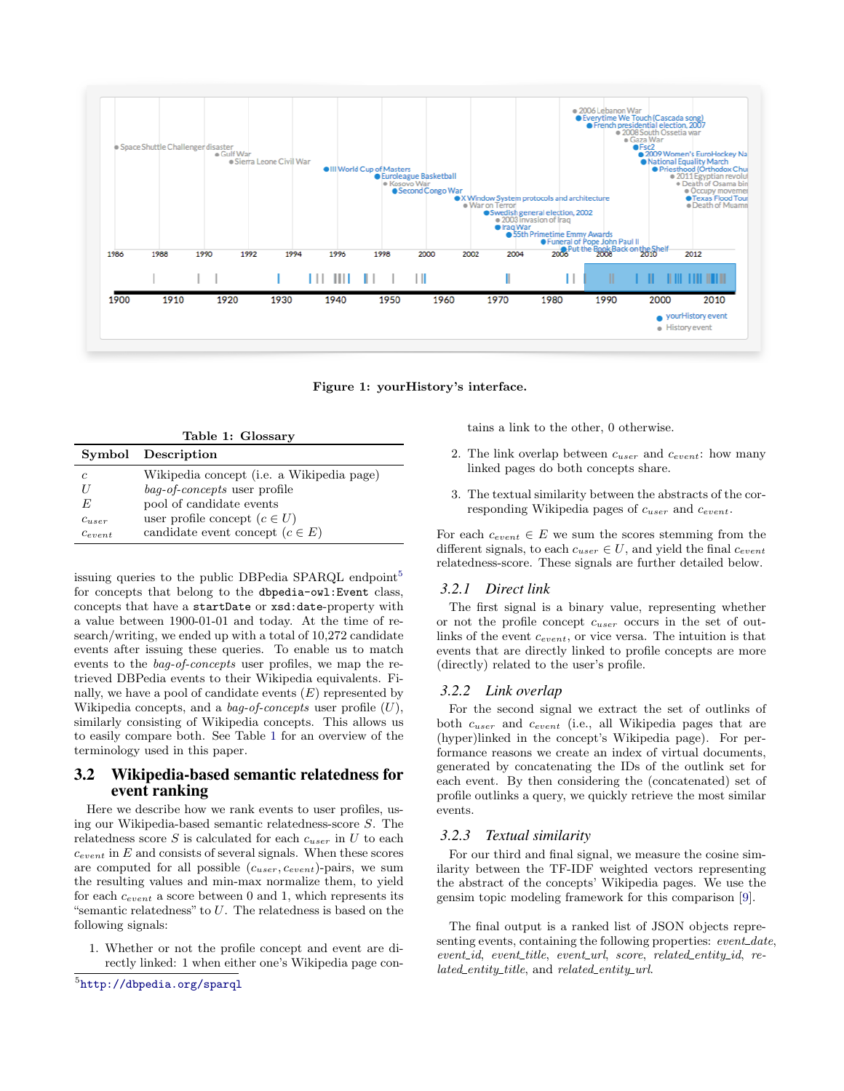

<span id="page-2-3"></span><span id="page-2-2"></span>Figure 1: yourHistory's interface.

| Table 1: Glossary |                                           |
|-------------------|-------------------------------------------|
|                   | Symbol Description                        |
| C                 | Wikipedia concept (i.e. a Wikipedia page) |
|                   | <i>bag-of-concepts</i> user profile       |
| E                 | pool of candidate events                  |
| $c_{user}$        | user profile concept $(c \in U)$          |
| $c_{event}$       | candidate event concept $(c \in E)$       |

issuing queries to the public DBPedia SPARQL endpoint<sup>[5](#page-2-1)</sup> for concepts that belong to the dbpedia-owl:Event class, concepts that have a startDate or xsd:date-property with a value between 1900-01-01 and today. At the time of research/writing, we ended up with a total of 10,272 candidate events after issuing these queries. To enable us to match events to the bag-of-concepts user profiles, we map the retrieved DBPedia events to their Wikipedia equivalents. Finally, we have a pool of candidate events  $(E)$  represented by Wikipedia concepts, and a *bag-of-concepts* user profile  $(U)$ , similarly consisting of Wikipedia concepts. This allows us to easily compare both. See Table [1](#page-2-2) for an overview of the terminology used in this paper.

#### <span id="page-2-0"></span>3.2 Wikipedia-based semantic relatedness for event ranking

Here we describe how we rank events to user profiles, using our Wikipedia-based semantic relatedness-score S. The relatedness score S is calculated for each  $c_{user}$  in U to each  $c_{event}$  in  $E$  and consists of several signals. When these scores are computed for all possible  $(c_{user}, c_{event})$ -pairs, we sum the resulting values and min-max normalize them, to yield for each  $c_{event}$  a score between 0 and 1, which represents its "semantic relatedness" to  $U$ . The relatedness is based on the following signals:

<span id="page-2-1"></span>1. Whether or not the profile concept and event are directly linked: 1 when either one's Wikipedia page contains a link to the other, 0 otherwise.

- 2. The link overlap between  $c_{user}$  and  $c_{event}$ : how many linked pages do both concepts share.
- 3. The textual similarity between the abstracts of the corresponding Wikipedia pages of  $c_{user}$  and  $c_{event}$ .

For each  $c_{event} \in E$  we sum the scores stemming from the different signals, to each  $c_{user} \in U$ , and yield the final  $c_{event}$ relatedness-score. These signals are further detailed below.

#### *3.2.1 Direct link*

The first signal is a binary value, representing whether or not the profile concept  $c_{user}$  occurs in the set of outlinks of the event  $c_{event}$ , or vice versa. The intuition is that events that are directly linked to profile concepts are more (directly) related to the user's profile.

#### *3.2.2 Link overlap*

For the second signal we extract the set of outlinks of both cuser and cevent (i.e., all Wikipedia pages that are (hyper)linked in the concept's Wikipedia page). For performance reasons we create an index of virtual documents, generated by concatenating the IDs of the outlink set for each event. By then considering the (concatenated) set of profile outlinks a query, we quickly retrieve the most similar events.

#### *3.2.3 Textual similarity*

For our third and final signal, we measure the cosine similarity between the TF-IDF weighted vectors representing the abstract of the concepts' Wikipedia pages. We use the gensim topic modeling framework for this comparison [\[9\]](#page-5-8).

The final output is a ranked list of JSON objects representing events, containing the following properties: event\_date, event\_id, event\_title, event\_url, score, related\_entity\_id, related\_entity\_title, and related\_entity\_url.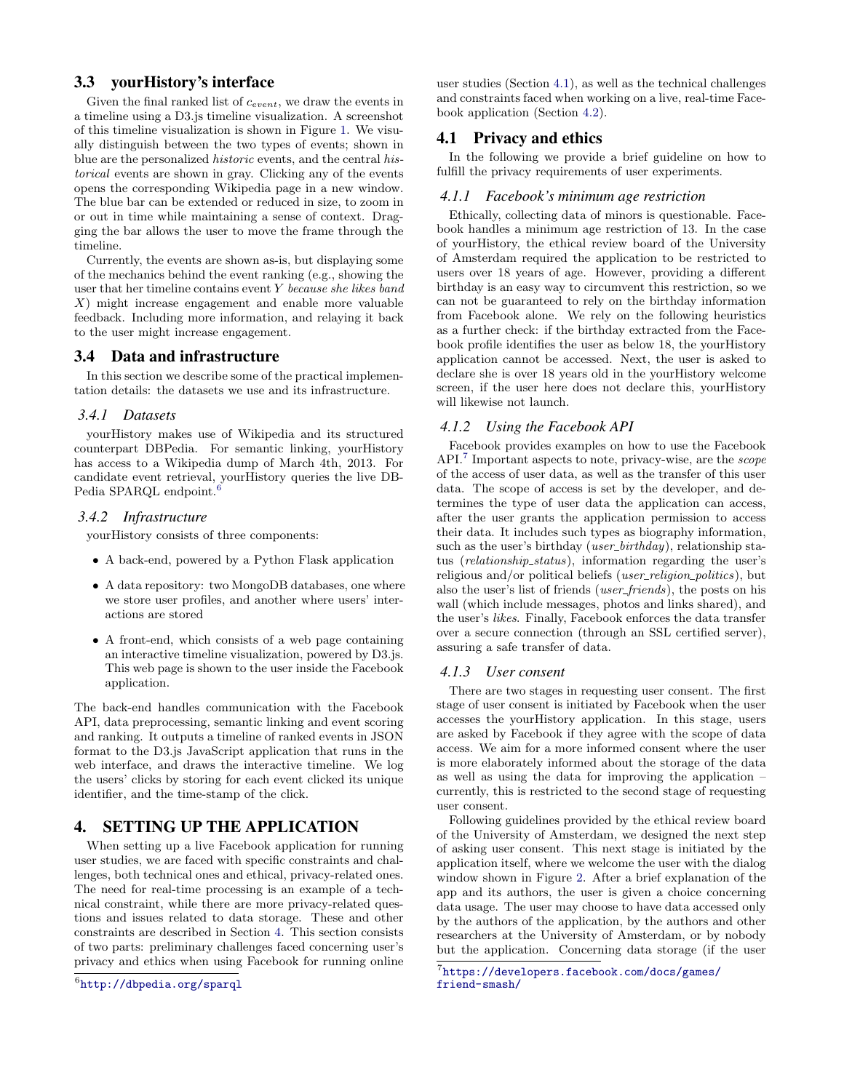# <span id="page-3-1"></span>3.3 yourHistory's interface

Given the final ranked list of cevent, we draw the events in a timeline using a D3.js timeline visualization. A screenshot of this timeline visualization is shown in Figure [1.](#page-2-3) We visually distinguish between the two types of events; shown in blue are the personalized historic events, and the central historical events are shown in gray. Clicking any of the events opens the corresponding Wikipedia page in a new window. The blue bar can be extended or reduced in size, to zoom in or out in time while maintaining a sense of context. Dragging the bar allows the user to move the frame through the timeline.

Currently, the events are shown as-is, but displaying some of the mechanics behind the event ranking (e.g., showing the user that her timeline contains event Y because she likes band X) might increase engagement and enable more valuable feedback. Including more information, and relaying it back to the user might increase engagement.

#### <span id="page-3-2"></span>3.4 Data and infrastructure

In this section we describe some of the practical implementation details: the datasets we use and its infrastructure.

## *3.4.1 Datasets*

yourHistory makes use of Wikipedia and its structured counterpart DBPedia. For semantic linking, yourHistory has access to a Wikipedia dump of March 4th, 2013. For candidate event retrieval, yourHistory queries the live DB-Pedia SPARQL endpoint.<sup>[6](#page-3-3)</sup>

## *3.4.2 Infrastructure*

yourHistory consists of three components:

- A back-end, powered by a Python Flask application
- A data repository: two MongoDB databases, one where we store user profiles, and another where users' interactions are stored
- A front-end, which consists of a web page containing an interactive timeline visualization, powered by D3.js. This web page is shown to the user inside the Facebook application.

The back-end handles communication with the Facebook API, data preprocessing, semantic linking and event scoring and ranking. It outputs a timeline of ranked events in JSON format to the D3.js JavaScript application that runs in the web interface, and draws the interactive timeline. We log the users' clicks by storing for each event clicked its unique identifier, and the time-stamp of the click.

# <span id="page-3-0"></span>4. SETTING UP THE APPLICATION

When setting up a live Facebook application for running user studies, we are faced with specific constraints and challenges, both technical ones and ethical, privacy-related ones. The need for real-time processing is an example of a technical constraint, while there are more privacy-related questions and issues related to data storage. These and other constraints are described in Section [4.](#page-3-0) This section consists of two parts: preliminary challenges faced concerning user's privacy and ethics when using Facebook for running online

```
^6http://dbpedia.org/sparql
```
user studies (Section [4.1\)](#page-3-4), as well as the technical challenges and constraints faced when working on a live, real-time Facebook application (Section [4.2\)](#page-4-2).

## <span id="page-3-4"></span>4.1 Privacy and ethics

In the following we provide a brief guideline on how to fulfill the privacy requirements of user experiments.

#### *4.1.1 Facebook's minimum age restriction*

Ethically, collecting data of minors is questionable. Facebook handles a minimum age restriction of 13. In the case of yourHistory, the ethical review board of the University of Amsterdam required the application to be restricted to users over 18 years of age. However, providing a different birthday is an easy way to circumvent this restriction, so we can not be guaranteed to rely on the birthday information from Facebook alone. We rely on the following heuristics as a further check: if the birthday extracted from the Facebook profile identifies the user as below 18, the yourHistory application cannot be accessed. Next, the user is asked to declare she is over 18 years old in the yourHistory welcome screen, if the user here does not declare this, yourHistory will likewise not launch.

#### *4.1.2 Using the Facebook API*

Facebook provides examples on how to use the Facebook API.<sup>[7](#page-3-5)</sup> Important aspects to note, privacy-wise, are the *scope* of the access of user data, as well as the transfer of this user data. The scope of access is set by the developer, and determines the type of user data the application can access, after the user grants the application permission to access their data. It includes such types as biography information, such as the user's birthday (*user\_birthday*), relationship status (relationship status), information regarding the user's religious and/or political beliefs (user\_religion\_politics), but also the user's list of friends (user friends), the posts on his wall (which include messages, photos and links shared), and the user's likes. Finally, Facebook enforces the data transfer over a secure connection (through an SSL certified server), assuring a safe transfer of data.

#### *4.1.3 User consent*

There are two stages in requesting user consent. The first stage of user consent is initiated by Facebook when the user accesses the yourHistory application. In this stage, users are asked by Facebook if they agree with the scope of data access. We aim for a more informed consent where the user is more elaborately informed about the storage of the data as well as using the data for improving the application – currently, this is restricted to the second stage of requesting user consent.

Following guidelines provided by the ethical review board of the University of Amsterdam, we designed the next step of asking user consent. This next stage is initiated by the application itself, where we welcome the user with the dialog window shown in Figure [2.](#page-4-3) After a brief explanation of the app and its authors, the user is given a choice concerning data usage. The user may choose to have data accessed only by the authors of the application, by the authors and other researchers at the University of Amsterdam, or by nobody but the application. Concerning data storage (if the user

<span id="page-3-5"></span> $^{7}$ [https://developers.facebook.com/docs/games/](https://developers.facebook.com/docs/games/friend-smash/) [friend-smash/](https://developers.facebook.com/docs/games/friend-smash/)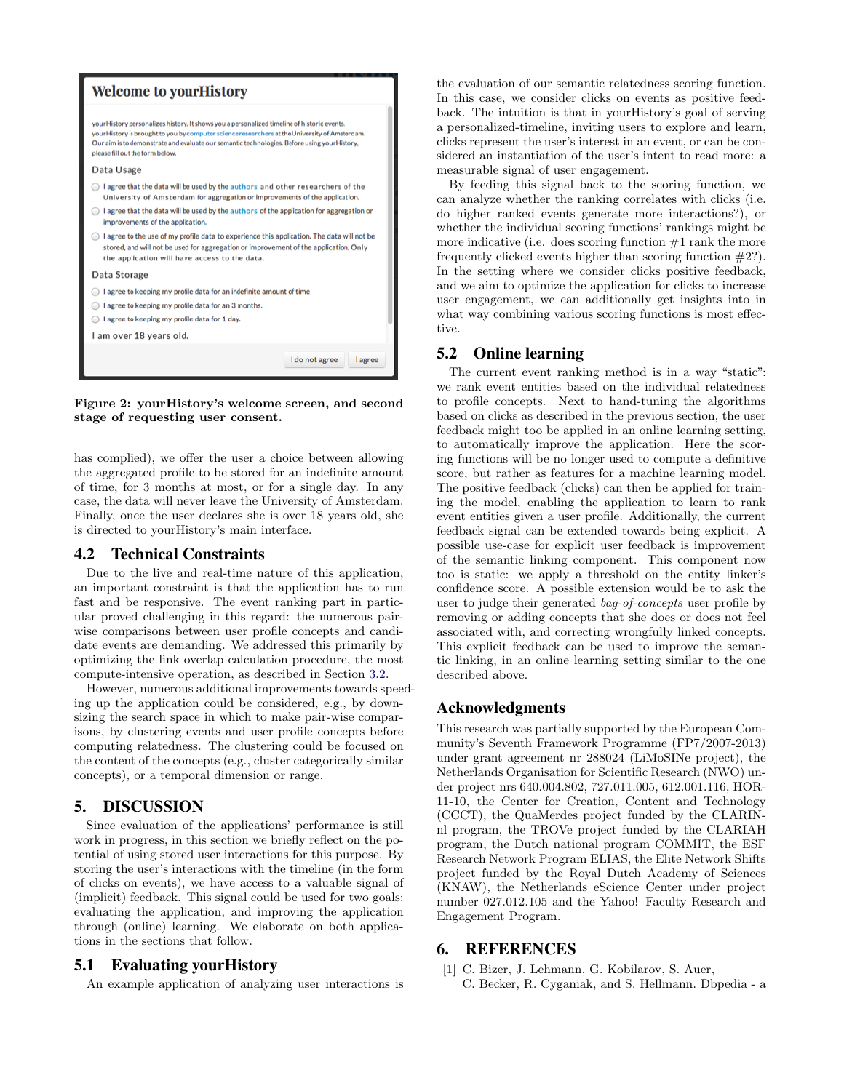

<span id="page-4-3"></span>Figure 2: yourHistory's welcome screen, and second stage of requesting user consent.

has complied), we offer the user a choice between allowing the aggregated profile to be stored for an indefinite amount of time, for 3 months at most, or for a single day. In any case, the data will never leave the University of Amsterdam. Finally, once the user declares she is over 18 years old, she is directed to yourHistory's main interface.

## <span id="page-4-2"></span>4.2 Technical Constraints

Due to the live and real-time nature of this application, an important constraint is that the application has to run fast and be responsive. The event ranking part in particular proved challenging in this regard: the numerous pairwise comparisons between user profile concepts and candidate events are demanding. We addressed this primarily by optimizing the link overlap calculation procedure, the most compute-intensive operation, as described in Section [3.2.](#page-2-0)

However, numerous additional improvements towards speeding up the application could be considered, e.g., by downsizing the search space in which to make pair-wise comparisons, by clustering events and user profile concepts before computing relatedness. The clustering could be focused on the content of the concepts (e.g., cluster categorically similar concepts), or a temporal dimension or range.

# <span id="page-4-0"></span>5. DISCUSSION

Since evaluation of the applications' performance is still work in progress, in this section we briefly reflect on the potential of using stored user interactions for this purpose. By storing the user's interactions with the timeline (in the form of clicks on events), we have access to a valuable signal of (implicit) feedback. This signal could be used for two goals: evaluating the application, and improving the application through (online) learning. We elaborate on both applications in the sections that follow.

## 5.1 Evaluating yourHistory

An example application of analyzing user interactions is

the evaluation of our semantic relatedness scoring function. In this case, we consider clicks on events as positive feedback. The intuition is that in yourHistory's goal of serving a personalized-timeline, inviting users to explore and learn, clicks represent the user's interest in an event, or can be considered an instantiation of the user's intent to read more: a measurable signal of user engagement.

By feeding this signal back to the scoring function, we can analyze whether the ranking correlates with clicks (i.e. do higher ranked events generate more interactions?), or whether the individual scoring functions' rankings might be more indicative (i.e. does scoring function  $#1$  rank the more frequently clicked events higher than scoring function #2?). In the setting where we consider clicks positive feedback, and we aim to optimize the application for clicks to increase user engagement, we can additionally get insights into in what way combining various scoring functions is most effective.

## 5.2 Online learning

The current event ranking method is in a way "static": we rank event entities based on the individual relatedness to profile concepts. Next to hand-tuning the algorithms based on clicks as described in the previous section, the user feedback might too be applied in an online learning setting, to automatically improve the application. Here the scoring functions will be no longer used to compute a definitive score, but rather as features for a machine learning model. The positive feedback (clicks) can then be applied for training the model, enabling the application to learn to rank event entities given a user profile. Additionally, the current feedback signal can be extended towards being explicit. A possible use-case for explicit user feedback is improvement of the semantic linking component. This component now too is static: we apply a threshold on the entity linker's confidence score. A possible extension would be to ask the user to judge their generated bag-of-concepts user profile by removing or adding concepts that she does or does not feel associated with, and correcting wrongfully linked concepts. This explicit feedback can be used to improve the semantic linking, in an online learning setting similar to the one described above.

## Acknowledgments

This research was partially supported by the European Community's Seventh Framework Programme (FP7/2007-2013) under grant agreement nr 288024 (LiMoSINe project), the Netherlands Organisation for Scientific Research (NWO) under project nrs 640.004.802, 727.011.005, 612.001.116, HOR-11-10, the Center for Creation, Content and Technology (CCCT), the QuaMerdes project funded by the CLARINnl program, the TROVe project funded by the CLARIAH program, the Dutch national program COMMIT, the ESF Research Network Program ELIAS, the Elite Network Shifts project funded by the Royal Dutch Academy of Sciences (KNAW), the Netherlands eScience Center under project number 027.012.105 and the Yahoo! Faculty Research and Engagement Program.

## 6. REFERENCES

<span id="page-4-1"></span>[1] C. Bizer, J. Lehmann, G. Kobilarov, S. Auer, C. Becker, R. Cyganiak, and S. Hellmann. Dbpedia - a